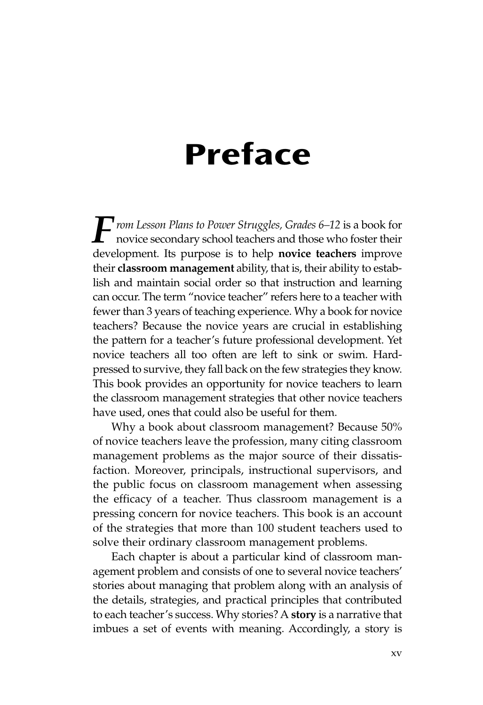# **Preface**

*From Lesson Plans to Power Struggles, Grades 6–12* is <sup>a</sup> book for novice secondary school teachers and those who foster their development. Its purpose is to help **novice teachers** improve their **classroom management** ability, that is, their ability to establish and maintain social order so that instruction and learning can occur. The term "novice teacher" refers here to a teacher with fewer than 3 years of teaching experience. Why a book for novice teachers? Because the novice years are crucial in establishing the pattern for a teacher's future professional development. Yet novice teachers all too often are left to sink or swim. Hardpressed to survive, they fall back on the few strategies they know. This book provides an opportunity for novice teachers to learn the classroom management strategies that other novice teachers have used, ones that could also be useful for them.

Why a book about classroom management? Because 50% of novice teachers leave the profession, many citing classroom management problems as the major source of their dissatisfaction. Moreover, principals, instructional supervisors, and the public focus on classroom management when assessing the efficacy of a teacher. Thus classroom management is a pressing concern for novice teachers. This book is an account of the strategies that more than 100 student teachers used to solve their ordinary classroom management problems.

Each chapter is about a particular kind of classroom management problem and consists of one to several novice teachers' stories about managing that problem along with an analysis of the details, strategies, and practical principles that contributed to each teacher's success. Why stories?A **story** is a narrative that imbues a set of events with meaning. Accordingly, a story is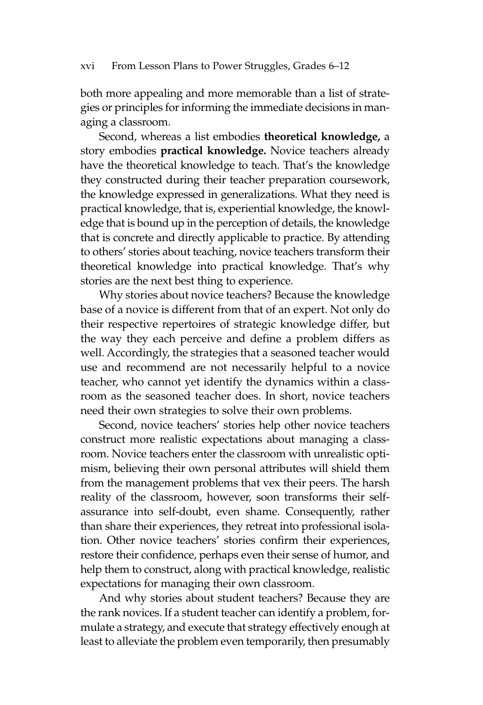both more appealing and more memorable than a list of strategies or principles for informing the immediate decisions in managing a classroom.

Second, whereas a list embodies **theoretical knowledge,** a story embodies **practical knowledge.** Novice teachers already have the theoretical knowledge to teach. That's the knowledge they constructed during their teacher preparation coursework, the knowledge expressed in generalizations. What they need is practical knowledge, that is, experiential knowledge, the knowledge that is bound up in the perception of details, the knowledge that is concrete and directly applicable to practice. By attending to others' stories about teaching, novice teachers transform their theoretical knowledge into practical knowledge. That's why stories are the next best thing to experience.

Why stories about novice teachers? Because the knowledge base of a novice is different from that of an expert. Not only do their respective repertoires of strategic knowledge differ, but the way they each perceive and define a problem differs as well. Accordingly, the strategies that a seasoned teacher would use and recommend are not necessarily helpful to a novice teacher, who cannot yet identify the dynamics within a classroom as the seasoned teacher does. In short, novice teachers need their own strategies to solve their own problems.

Second, novice teachers' stories help other novice teachers construct more realistic expectations about managing a classroom. Novice teachers enter the classroom with unrealistic optimism, believing their own personal attributes will shield them from the management problems that vex their peers. The harsh reality of the classroom, however, soon transforms their selfassurance into self-doubt, even shame. Consequently, rather than share their experiences, they retreat into professional isolation. Other novice teachers' stories confirm their experiences, restore their confidence, perhaps even their sense of humor, and help them to construct, along with practical knowledge, realistic expectations for managing their own classroom.

And why stories about student teachers? Because they are the rank novices. If a student teacher can identify a problem, formulate a strategy, and execute that strategy effectively enough at least to alleviate the problem even temporarily, then presumably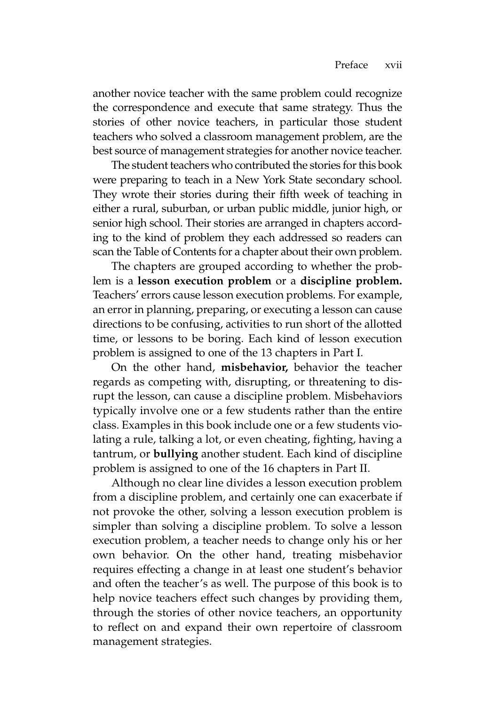another novice teacher with the same problem could recognize the correspondence and execute that same strategy. Thus the stories of other novice teachers, in particular those student teachers who solved a classroom management problem, are the best source of management strategies for another novice teacher.

The student teachers who contributed the stories for this book were preparing to teach in a New York State secondary school. They wrote their stories during their fifth week of teaching in either a rural, suburban, or urban public middle, junior high, or senior high school. Their stories are arranged in chapters according to the kind of problem they each addressed so readers can scan the Table of Contents for a chapter about their own problem.

The chapters are grouped according to whether the problem is a **lesson execution problem** or a **discipline problem.** Teachers' errors cause lesson execution problems. For example, an error in planning, preparing, or executing a lesson can cause directions to be confusing, activities to run short of the allotted time, or lessons to be boring. Each kind of lesson execution problem is assigned to one of the 13 chapters in Part I.

On the other hand, **misbehavior,** behavior the teacher regards as competing with, disrupting, or threatening to disrupt the lesson, can cause a discipline problem. Misbehaviors typically involve one or a few students rather than the entire class. Examples in this book include one or a few students violating a rule, talking a lot, or even cheating, fighting, having a tantrum, or **bullying** another student. Each kind of discipline problem is assigned to one of the 16 chapters in Part II.

Although no clear line divides a lesson execution problem from a discipline problem, and certainly one can exacerbate if not provoke the other, solving a lesson execution problem is simpler than solving a discipline problem. To solve a lesson execution problem, a teacher needs to change only his or her own behavior. On the other hand, treating misbehavior requires effecting a change in at least one student's behavior and often the teacher's as well. The purpose of this book is to help novice teachers effect such changes by providing them, through the stories of other novice teachers, an opportunity to reflect on and expand their own repertoire of classroom management strategies.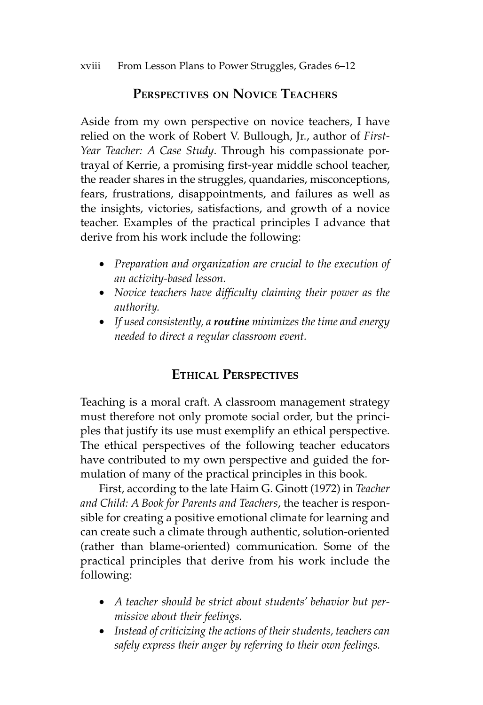xviii——From Lesson Plans to Power Struggles, Grades 6–12

### **PERSPECTIVES ON NOVICE TEACHERS**

Aside from my own perspective on novice teachers, I have relied on the work of Robert V. Bullough, Jr., author of *First-Year Teacher: A Case Study*. Through his compassionate portrayal of Kerrie, a promising first-year middle school teacher, the reader shares in the struggles, quandaries, misconceptions, fears, frustrations, disappointments, and failures as well as the insights, victories, satisfactions, and growth of a novice teacher. Examples of the practical principles I advance that derive from his work include the following:

- *Preparation and organization are crucial to the execution of an activity-based lesson.*
- *Novice teachers have difficulty claiming their power as the authority.*
- *If used consistently, a routine minimizes the time and energy needed to direct a regular classroom event.*

### **ETHICAL PERSPECTIVES**

Teaching is a moral craft. A classroom management strategy must therefore not only promote social order, but the principles that justify its use must exemplify an ethical perspective. The ethical perspectives of the following teacher educators have contributed to my own perspective and guided the formulation of many of the practical principles in this book.

First, according to the late Haim G. Ginott (1972) in *Teacher and Child: A Book for Parents and Teachers*, the teacher is responsible for creating a positive emotional climate for learning and can create such a climate through authentic, solution-oriented (rather than blame-oriented) communication. Some of the practical principles that derive from his work include the following:

- *A teacher should be strict about students' behavior but permissive about their feelings.*
- *Instead of criticizing the actions of their students, teachers can safely express their anger by referring to their own feelings.*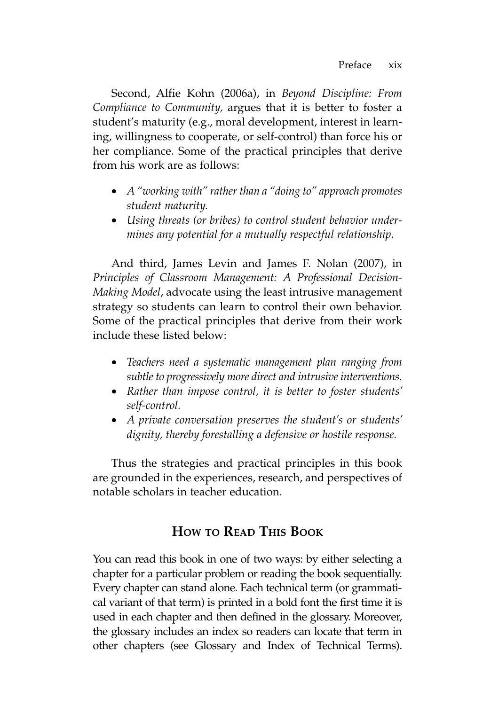Second, Alfie Kohn (2006a), in *Beyond Discipline: From Compliance to Community,* argues that it is better to foster a student's maturity (e.g., moral development, interest in learning, willingness to cooperate, or self-control) than force his or her compliance. Some of the practical principles that derive from his work are as follows:

- *A "working with" rather than a "doing to" approach promotes student maturity.*
- *Using threats (or bribes) to control student behavior undermines any potential for a mutually respectful relationship.*

And third, James Levin and James F. Nolan (2007), in *Principles of Classroom Management: A Professional Decision-Making Model*, advocate using the least intrusive management strategy so students can learn to control their own behavior. Some of the practical principles that derive from their work include these listed below:

- *Teachers need a systematic management plan ranging from subtle to progressively more direct and intrusive interventions.*
- *Rather than impose control, it is better to foster students' self-control.*
- *A private conversation preserves the student's or students' dignity, thereby forestalling a defensive or hostile response.*

Thus the strategies and practical principles in this book are grounded in the experiences, research, and perspectives of notable scholars in teacher education.

## **HOW TO READ THIS BOOK**

You can read this book in one of two ways: by either selecting a chapter for a particular problem or reading the book sequentially. Every chapter can stand alone. Each technical term (or grammatical variant of that term) is printed in a bold font the first time it is used in each chapter and then defined in the glossary. Moreover, the glossary includes an index so readers can locate that term in other chapters (see Glossary and Index of Technical Terms).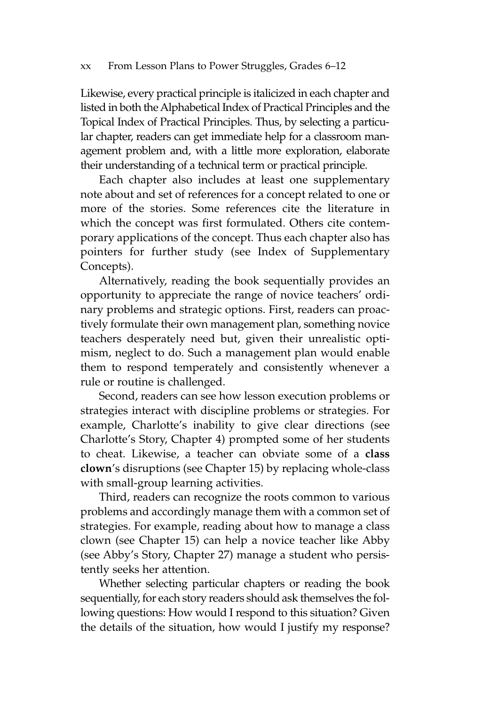Likewise, every practical principle is italicized in each chapter and listed in both the Alphabetical Index of Practical Principles and the Topical Index of Practical Principles. Thus, by selecting a particular chapter, readers can get immediate help for a classroom management problem and, with a little more exploration, elaborate their understanding of a technical term or practical principle.

Each chapter also includes at least one supplementary note about and set of references for a concept related to one or more of the stories. Some references cite the literature in which the concept was first formulated. Others cite contemporary applications of the concept. Thus each chapter also has pointers for further study (see Index of Supplementary Concepts).

Alternatively, reading the book sequentially provides an opportunity to appreciate the range of novice teachers' ordinary problems and strategic options. First, readers can proactively formulate their own management plan, something novice teachers desperately need but, given their unrealistic optimism, neglect to do. Such a management plan would enable them to respond temperately and consistently whenever a rule or routine is challenged.

Second, readers can see how lesson execution problems or strategies interact with discipline problems or strategies. For example, Charlotte's inability to give clear directions (see Charlotte's Story, Chapter 4) prompted some of her students to cheat. Likewise, a teacher can obviate some of a **class clown**'s disruptions (see Chapter 15) by replacing whole-class with small-group learning activities.

Third, readers can recognize the roots common to various problems and accordingly manage them with a common set of strategies. For example, reading about how to manage a class clown (see Chapter 15) can help a novice teacher like Abby (see Abby's Story, Chapter 27) manage a student who persistently seeks her attention.

Whether selecting particular chapters or reading the book sequentially, for each story readers should ask themselves the following questions: How would I respond to this situation? Given the details of the situation, how would I justify my response?